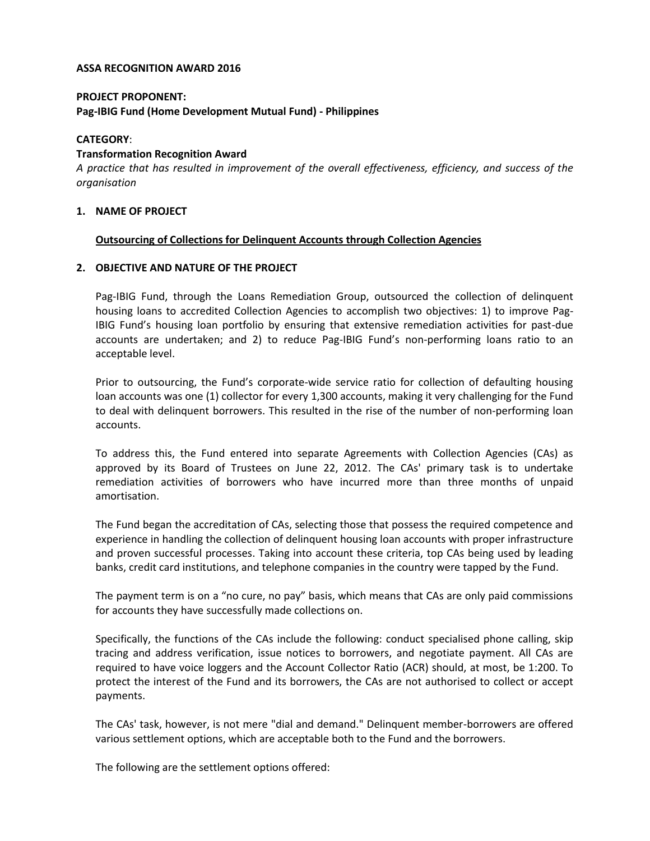#### **ASSA RECOGNITION AWARD 2016**

### **PROJECT PROPONENT: Pag-IBIG Fund (Home Development Mutual Fund) - Philippines**

# **CATEGORY**:

# **Transformation Recognition Award**

*A practice that has resulted in improvement of the overall effectiveness, efficiency, and success of the organisation*

# **1. NAME OF PROJECT**

# **Outsourcing of Collections for Delinquent Accounts through Collection Agencies**

### **2. OBJECTIVE AND NATURE OF THE PROJECT**

Pag-IBIG Fund, through the Loans Remediation Group, outsourced the collection of delinquent housing loans to accredited Collection Agencies to accomplish two objectives: 1) to improve Pag-IBIG Fund's housing loan portfolio by ensuring that extensive remediation activities for past-due accounts are undertaken; and 2) to reduce Pag-IBIG Fund's non-performing loans ratio to an acceptable level.

Prior to outsourcing, the Fund's corporate-wide service ratio for collection of defaulting housing loan accounts was one (1) collector for every 1,300 accounts, making it very challenging for the Fund to deal with delinquent borrowers. This resulted in the rise of the number of non-performing loan accounts.

To address this, the Fund entered into separate Agreements with Collection Agencies (CAs) as approved by its Board of Trustees on June 22, 2012. The CAs' primary task is to undertake remediation activities of borrowers who have incurred more than three months of unpaid amortisation.

The Fund began the accreditation of CAs, selecting those that possess the required competence and experience in handling the collection of delinquent housing loan accounts with proper infrastructure and proven successful processes. Taking into account these criteria, top CAs being used by leading banks, credit card institutions, and telephone companies in the country were tapped by the Fund.

The payment term is on a "no cure, no pay" basis, which means that CAs are only paid commissions for accounts they have successfully made collections on.

Specifically, the functions of the CAs include the following: conduct specialised phone calling, skip tracing and address verification, issue notices to borrowers, and negotiate payment. All CAs are required to have voice loggers and the Account Collector Ratio (ACR) should, at most, be 1:200. To protect the interest of the Fund and its borrowers, the CAs are not authorised to collect or accept payments.

The CAs' task, however, is not mere "dial and demand." Delinquent member-borrowers are offered various settlement options, which are acceptable both to the Fund and the borrowers.

The following are the settlement options offered: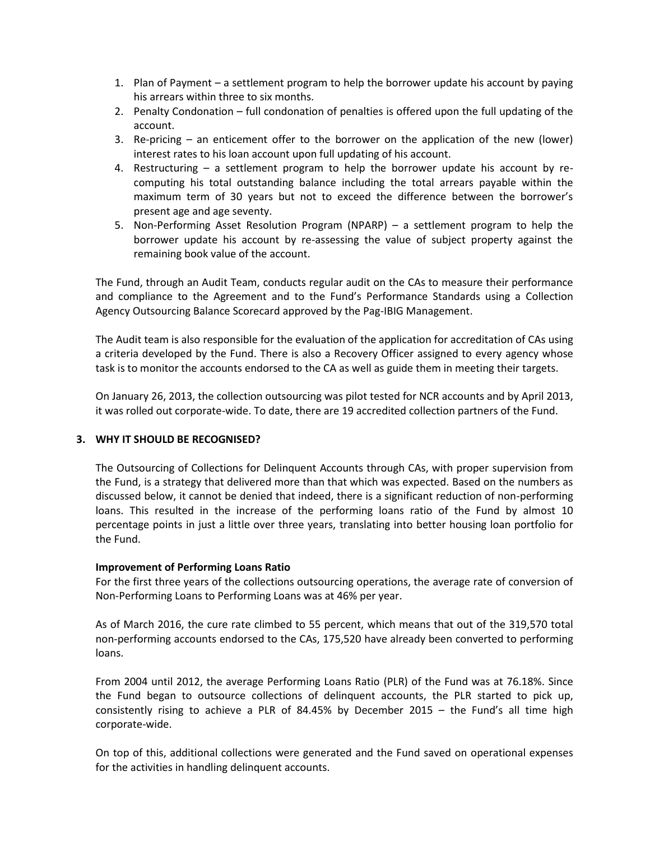- 1. Plan of Payment a settlement program to help the borrower update his account by paying his arrears within three to six months.
- 2. Penalty Condonation full condonation of penalties is offered upon the full updating of the account.
- 3. Re-pricing an enticement offer to the borrower on the application of the new (lower) interest rates to his loan account upon full updating of his account.
- 4. Restructuring a settlement program to help the borrower update his account by recomputing his total outstanding balance including the total arrears payable within the maximum term of 30 years but not to exceed the difference between the borrower's present age and age seventy.
- 5. Non-Performing Asset Resolution Program (NPARP) a settlement program to help the borrower update his account by re-assessing the value of subject property against the remaining book value of the account.

The Fund, through an Audit Team, conducts regular audit on the CAs to measure their performance and compliance to the Agreement and to the Fund's Performance Standards using a Collection Agency Outsourcing Balance Scorecard approved by the Pag-IBIG Management.

The Audit team is also responsible for the evaluation of the application for accreditation of CAs using a criteria developed by the Fund. There is also a Recovery Officer assigned to every agency whose task is to monitor the accounts endorsed to the CA as well as guide them in meeting their targets.

On January 26, 2013, the collection outsourcing was pilot tested for NCR accounts and by April 2013, it was rolled out corporate-wide. To date, there are 19 accredited collection partners of the Fund.

# **3. WHY IT SHOULD BE RECOGNISED?**

The Outsourcing of Collections for Delinquent Accounts through CAs, with proper supervision from the Fund, is a strategy that delivered more than that which was expected. Based on the numbers as discussed below, it cannot be denied that indeed, there is a significant reduction of non-performing loans. This resulted in the increase of the performing loans ratio of the Fund by almost 10 percentage points in just a little over three years, translating into better housing loan portfolio for the Fund.

# **Improvement of Performing Loans Ratio**

For the first three years of the collections outsourcing operations, the average rate of conversion of Non-Performing Loans to Performing Loans was at 46% per year.

As of March 2016, the cure rate climbed to 55 percent, which means that out of the 319,570 total non-performing accounts endorsed to the CAs, 175,520 have already been converted to performing loans.

From 2004 until 2012, the average Performing Loans Ratio (PLR) of the Fund was at 76.18%. Since the Fund began to outsource collections of delinquent accounts, the PLR started to pick up, consistently rising to achieve a PLR of 84.45% by December 2015 – the Fund's all time high corporate-wide.

On top of this, additional collections were generated and the Fund saved on operational expenses for the activities in handling delinquent accounts.